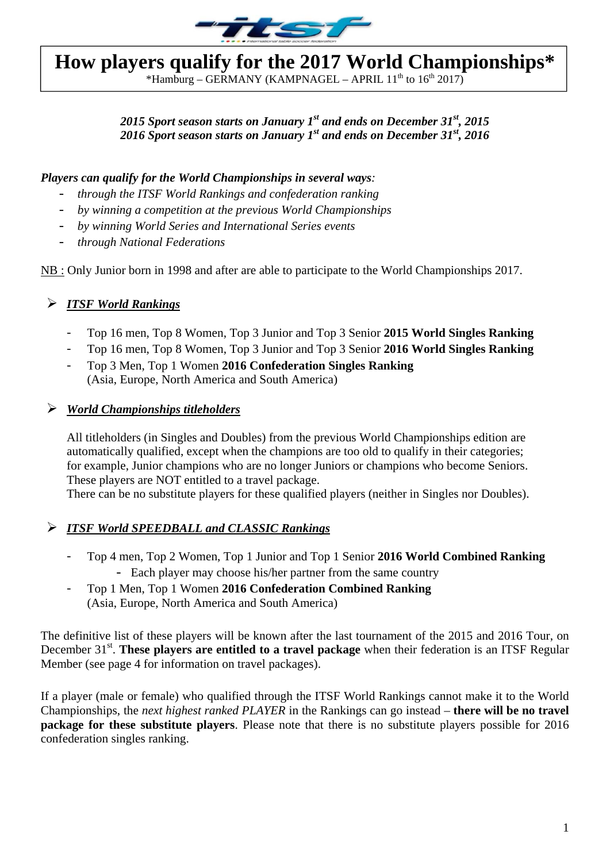

# **How players qualify for the 2017 World Championships\***

\*Hamburg – GERMANY (KAMPNAGEL – APRIL  $11^{th}$  to  $16^{th}$  2017)

# 2015 Sport season starts on January 1<sup>st</sup> and ends on December 31<sup>st</sup>, 2015 *2016 Sport season starts on January 1st and ends on December 31st, 2016*

#### *Players can qualify for the World Championships in several ways:*

- *through the ITSF World Rankings and confederation ranking*
- *by winning a competition at the previous World Championships*
- *by winning World Series and International Series events*
- *through National Federations*

NB : Only Junior born in 1998 and after are able to participate to the World Championships 2017.

## *ITSF World Rankings*

- ‐ Top 16 men, Top 8 Women, Top 3 Junior and Top 3 Senior **2015 World Singles Ranking**
- ‐ Top 16 men, Top 8 Women, Top 3 Junior and Top 3 Senior **2016 World Singles Ranking**
- ‐ Top 3 Men, Top 1 Women **2016 Confederation Singles Ranking** (Asia, Europe, North America and South America)

### *World Championships titleholders*

All titleholders (in Singles and Doubles) from the previous World Championships edition are automatically qualified, except when the champions are too old to qualify in their categories; for example, Junior champions who are no longer Juniors or champions who become Seniors. These players are NOT entitled to a travel package.

There can be no substitute players for these qualified players (neither in Singles nor Doubles).

## *ITSF World SPEEDBALL and CLASSIC Rankings*

- ‐ Top 4 men, Top 2 Women, Top 1 Junior and Top 1 Senior **2016 World Combined Ranking** - Each player may choose his/her partner from the same country
- ‐ Top 1 Men, Top 1 Women **2016 Confederation Combined Ranking** (Asia, Europe, North America and South America)

The definitive list of these players will be known after the last tournament of the 2015 and 2016 Tour, on December 31<sup>st</sup>. These players are entitled to a travel package when their federation is an ITSF Regular Member (see page 4 for information on travel packages).

If a player (male or female) who qualified through the ITSF World Rankings cannot make it to the World Championships, the *next highest ranked PLAYER* in the Rankings can go instead – **there will be no travel package for these substitute players**. Please note that there is no substitute players possible for 2016 confederation singles ranking.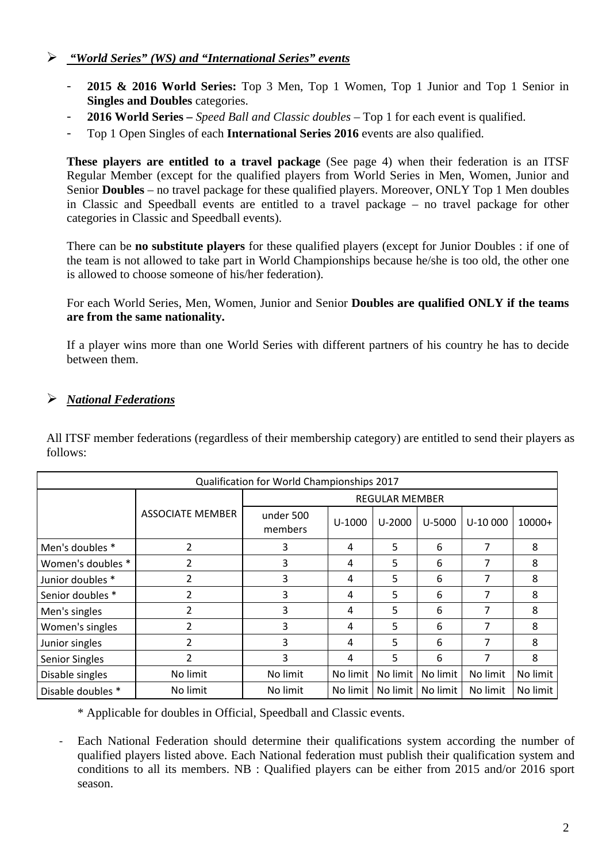### *"World Series" (WS) and "International Series" events*

- ‐ **2015 & 2016 World Series:** Top 3 Men, Top 1 Women, Top 1 Junior and Top 1 Senior in **Singles and Doubles** categories.
- ‐ **2016 World Series –** *Speed Ball and Classic doubles* Top 1 for each event is qualified.
- ‐ Top 1 Open Singles of each **International Series 2016** events are also qualified.

**These players are entitled to a travel package** (See page 4) when their federation is an ITSF Regular Member (except for the qualified players from World Series in Men, Women, Junior and Senior **Doubles** – no travel package for these qualified players. Moreover, ONLY Top 1 Men doubles in Classic and Speedball events are entitled to a travel package – no travel package for other categories in Classic and Speedball events).

There can be **no substitute players** for these qualified players (except for Junior Doubles : if one of the team is not allowed to take part in World Championships because he/she is too old, the other one is allowed to choose someone of his/her federation).

For each World Series, Men, Women, Junior and Senior **Doubles are qualified ONLY if the teams are from the same nationality.** 

If a player wins more than one World Series with different partners of his country he has to decide between them.

# *National Federations*

All ITSF member federations (regardless of their membership category) are entitled to send their players as follows:

| Qualification for World Championships 2017 |                         |                       |          |            |            |           |          |  |  |
|--------------------------------------------|-------------------------|-----------------------|----------|------------|------------|-----------|----------|--|--|
|                                            |                         | <b>REGULAR MEMBER</b> |          |            |            |           |          |  |  |
|                                            | <b>ASSOCIATE MEMBER</b> | under 500<br>members  | $U-1000$ | $U - 2000$ | $U - 5000$ | $U-10000$ | $10000+$ |  |  |
| Men's doubles *                            | $\overline{2}$          | 3                     | 4        | 5          | 6          | 7         | 8        |  |  |
| Women's doubles *                          | 2                       | 3                     | 4        | 5          | 6          | 7         | 8        |  |  |
| Junior doubles *                           | 2                       | 3                     | 4        | 5          | 6          | 7         | 8        |  |  |
| Senior doubles *                           | $\overline{2}$          | 3                     | 4        | 5          | 6          | 7         | 8        |  |  |
| Men's singles                              | $\overline{2}$          | 3                     | 4        | 5          | 6          |           | 8        |  |  |
| Women's singles                            | $\overline{2}$          | 3                     | 4        | 5          | 6          | 7         | 8        |  |  |
| Junior singles                             | 2                       | 3                     | 4        | 5          | 6          | 7         | 8        |  |  |
| Senior Singles                             | $\overline{2}$          | 3                     | 4        | 5          | 6          |           | 8        |  |  |
| Disable singles                            | No limit                | No limit              | No limit | No limit   | No limit   | No limit  | No limit |  |  |
| Disable doubles *                          | No limit                | No limit              | No limit | No limit   | No limit   | No limit  | No limit |  |  |

\* Applicable for doubles in Official, Speedball and Classic events.

‐ Each National Federation should determine their qualifications system according the number of qualified players listed above. Each National federation must publish their qualification system and conditions to all its members. NB : Qualified players can be either from 2015 and/or 2016 sport season.